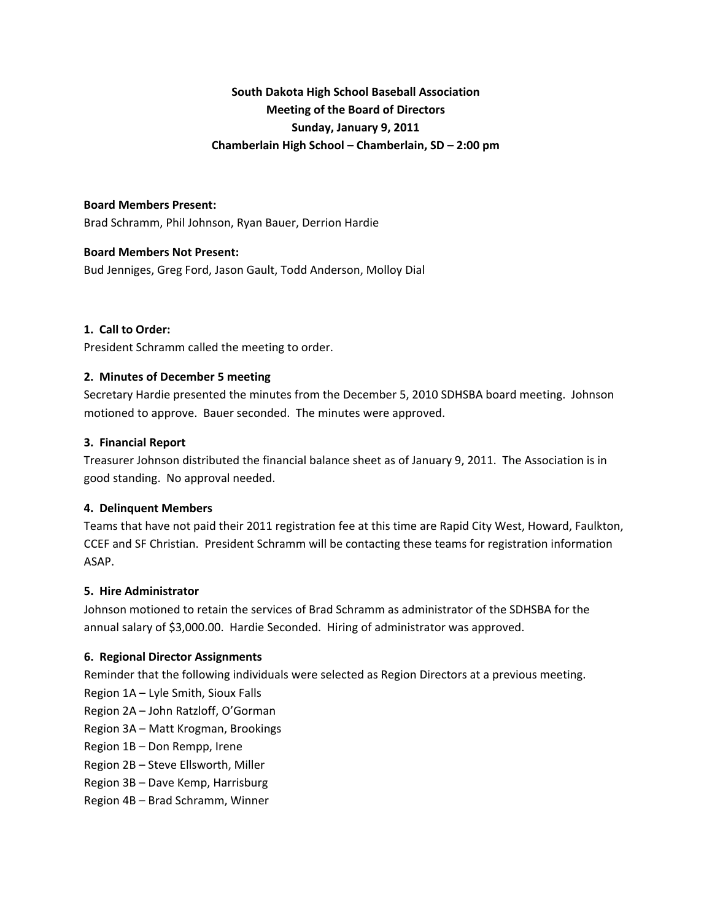# **South Dakota High School Baseball Association Meeting of the Board of Directors Sunday, January 9, 2011 Chamberlain High School – Chamberlain, SD – 2:00 pm**

## **Board Members Present:**

Brad Schramm, Phil Johnson, Ryan Bauer, Derrion Hardie

## **Board Members Not Present:**

Bud Jenniges, Greg Ford, Jason Gault, Todd Anderson, Molloy Dial

#### **1. Call to Order:**

President Schramm called the meeting to order.

## **2. Minutes of December 5 meeting**

Secretary Hardie presented the minutes from the December 5, 2010 SDHSBA board meeting. Johnson motioned to approve. Bauer seconded. The minutes were approved.

#### **3. Financial Report**

Treasurer Johnson distributed the financial balance sheet as of January 9, 2011. The Association is in good standing. No approval needed.

## **4. Delinquent Members**

Teams that have not paid their 2011 registration fee at this time are Rapid City West, Howard, Faulkton, CCEF and SF Christian. President Schramm will be contacting these teams for registration information ASAP.

## **5. Hire Administrator**

Johnson motioned to retain the services of Brad Schramm as administrator of the SDHSBA for the annual salary of \$3,000.00. Hardie Seconded. Hiring of administrator was approved.

## **6. Regional Director Assignments**

Reminder that the following individuals were selected as Region Directors at a previous meeting.

- Region 1A Lyle Smith, Sioux Falls
- Region 2A John Ratzloff, O'Gorman
- Region 3A Matt Krogman, Brookings

Region 1B – Don Rempp, Irene

- Region 2B Steve Ellsworth, Miller
- Region 3B Dave Kemp, Harrisburg
- Region 4B Brad Schramm, Winner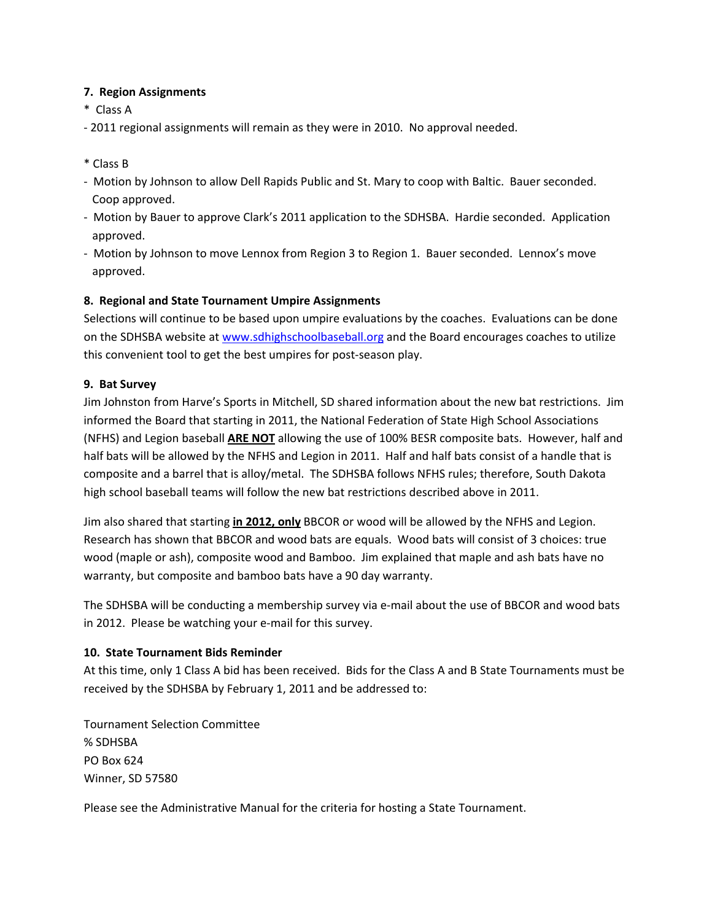# **7. Region Assignments**

- \* Class A
- ‐ 2011 regional assignments will remain as they were in 2010. No approval needed.
- \* Class B
- ‐ Motion by Johnson to allow Dell Rapids Public and St. Mary to coop with Baltic. Bauer seconded. Coop approved.
- ‐ Motion by Bauer to approve Clark's 2011 application to the SDHSBA. Hardie seconded. Application approved.
- ‐ Motion by Johnson to move Lennox from Region 3 to Region 1. Bauer seconded. Lennox's move approved.

# **8. Regional and State Tournament Umpire Assignments**

Selections will continue to be based upon umpire evaluations by the coaches. Evaluations can be done on the SDHSBA website at [www.sdhighschoolbaseball.org](http://www.sdhighschoolbaseball.org/) and the Board encourages coaches to utilize this convenient tool to get the best umpires for post‐season play.

## **9. Bat Survey**

Jim Johnston from Harve's Sports in Mitchell, SD shared information about the new bat restrictions. Jim informed the Board that starting in 2011, the National Federation of State High School Associations (NFHS) and Legion baseball **ARE NOT** allowing the use of 100% BESR composite bats. However, half and half bats will be allowed by the NFHS and Legion in 2011. Half and half bats consist of a handle that is composite and a barrel that is alloy/metal. The SDHSBA follows NFHS rules; therefore, South Dakota high school baseball teams will follow the new bat restrictions described above in 2011.

Jim also shared that starting **in 2012, only** BBCOR or wood will be allowed by the NFHS and Legion. Research has shown that BBCOR and wood bats are equals. Wood bats will consist of 3 choices: true wood (maple or ash), composite wood and Bamboo. Jim explained that maple and ash bats have no warranty, but composite and bamboo bats have a 90 day warranty.

The SDHSBA will be conducting a membership survey via e‐mail about the use of BBCOR and wood bats in 2012. Please be watching your e‐mail for this survey.

## **10. State Tournament Bids Reminder**

At this time, only 1 Class A bid has been received. Bids for the Class A and B State Tournaments must be received by the SDHSBA by February 1, 2011 and be addressed to:

Tournament Selection Committee % SDHSBA PO Box 624 Winner, SD 57580

Please see the Administrative Manual for the criteria for hosting a State Tournament.